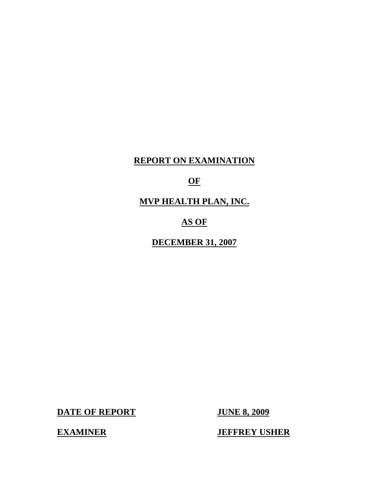## **REPORT ON EXAMINATION**

## **OF**

# **MVP HEALTH PLAN, INC.**

## **AS OF**

**DECEMBER 31, 2007** 

**DATE OF REPORT JUNE 8, 2009** 

**EXAMINER JEFFREY USHER**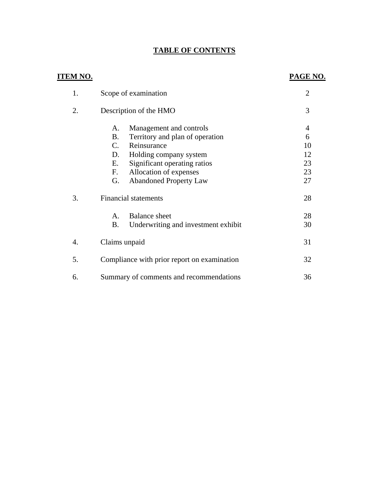## **TABLE OF CONTENTS**

| <u>ITEM NO.</u> |                                                                                                                                                                                                                                                          | PAGE NO.                                          |
|-----------------|----------------------------------------------------------------------------------------------------------------------------------------------------------------------------------------------------------------------------------------------------------|---------------------------------------------------|
| 1.              | Scope of examination                                                                                                                                                                                                                                     | $\overline{2}$                                    |
| 2.              | Description of the HMO                                                                                                                                                                                                                                   | 3                                                 |
|                 | Management and controls<br>А.<br><b>B.</b><br>Territory and plan of operation<br>$C_{\cdot}$<br>Reinsurance<br>D.<br>Holding company system<br>Significant operating ratios<br>Е.<br>Allocation of expenses<br>F.<br>G.<br><b>Abandoned Property Law</b> | $\overline{4}$<br>6<br>10<br>12<br>23<br>23<br>27 |
| 3.              | <b>Financial statements</b><br><b>Balance</b> sheet<br>А.<br><b>B.</b><br>Underwriting and investment exhibit                                                                                                                                            | 28<br>28<br>30                                    |
| 4.              | Claims unpaid                                                                                                                                                                                                                                            | 31                                                |
| 5.              | Compliance with prior report on examination                                                                                                                                                                                                              | 32                                                |
| 6.              | Summary of comments and recommendations                                                                                                                                                                                                                  | 36                                                |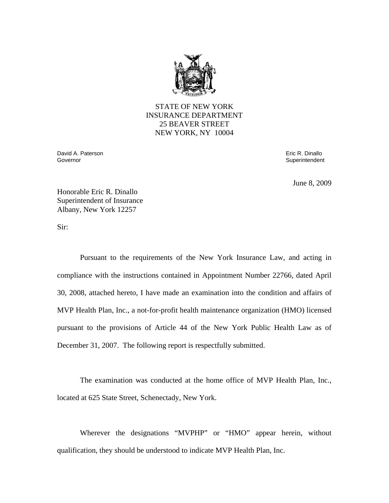

STATE OF NEW YORK INSURANCE DEPARTMENT 25 BEAVER STREET NEW YORK, NY 10004

David A. Paterson Eric R. Dinallo Governor Superintendent Controller Controller Controller Controller Controller Controller Controller Controller

June 8, 2009

Honorable Eric R. Dinallo Superintendent of Insurance Albany, New York 12257

Sir:

Pursuant to the requirements of the New York Insurance Law, and acting in compliance with the instructions contained in Appointment Number 22766, dated April 30, 2008, attached hereto, I have made an examination into the condition and affairs of MVP Health Plan, Inc., a not-for-profit health maintenance organization (HMO) licensed pursuant to the provisions of Article 44 of the New York Public Health Law as of December 31, 2007. The following report is respectfully submitted.

The examination was conducted at the home office of MVP Health Plan, Inc., located at 625 State Street, Schenectady, New York.

Wherever the designations "MVPHP" or "HMO" appear herein, without qualification, they should be understood to indicate MVP Health Plan, Inc.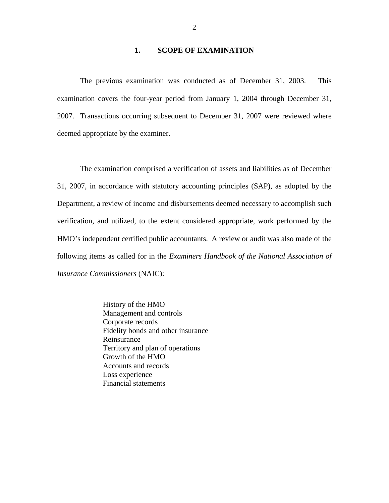## 1. **SCOPE OF EXAMINATION**

The previous examination was conducted as of December 31, 2003. This examination covers the four-year period from January 1, 2004 through December 31, 2007. Transactions occurring subsequent to December 31, 2007 were reviewed where deemed appropriate by the examiner.

The examination comprised a verification of assets and liabilities as of December 31, 2007, in accordance with statutory accounting principles (SAP), as adopted by the Department, a review of income and disbursements deemed necessary to accomplish such verification, and utilized, to the extent considered appropriate, work performed by the HMO's independent certified public accountants. A review or audit was also made of the following items as called for in the *Examiners Handbook of the National Association of Insurance Commissioners* (NAIC):

> History of the HMO Management and controls Corporate records Fidelity bonds and other insurance Reinsurance Territory and plan of operations Growth of the HMO Accounts and records Loss experience Financial statements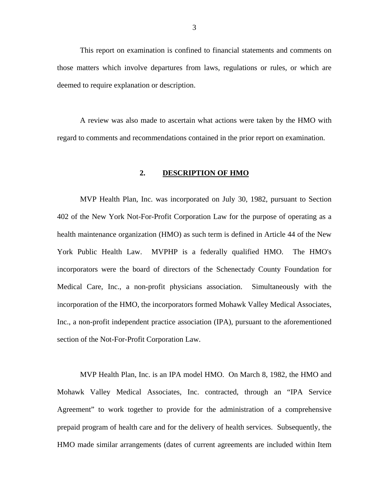This report on examination is confined to financial statements and comments on those matters which involve departures from laws, regulations or rules, or which are deemed to require explanation or description.

A review was also made to ascertain what actions were taken by the HMO with regard to comments and recommendations contained in the prior report on examination.

## **2. DESCRIPTION OF HMO**

MVP Health Plan, Inc. was incorporated on July 30, 1982, pursuant to Section 402 of the New York Not-For-Profit Corporation Law for the purpose of operating as a health maintenance organization (HMO) as such term is defined in Article 44 of the New York Public Health Law. MVPHP is a federally qualified HMO. The HMO's incorporators were the board of directors of the Schenectady County Foundation for Medical Care, Inc., a non-profit physicians association. Simultaneously with the incorporation of the HMO, the incorporators formed Mohawk Valley Medical Associates, Inc., a non-profit independent practice association (IPA), pursuant to the aforementioned section of the Not-For-Profit Corporation Law.

MVP Health Plan, Inc. is an IPA model HMO. On March 8, 1982, the HMO and Mohawk Valley Medical Associates, Inc. contracted, through an "IPA Service Agreement" to work together to provide for the administration of a comprehensive prepaid program of health care and for the delivery of health services. Subsequently, the HMO made similar arrangements (dates of current agreements are included within Item

3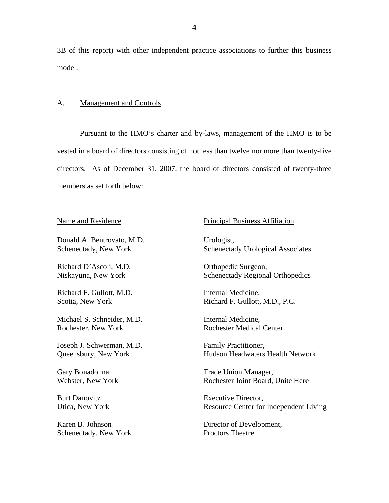3B of this report) with other independent practice associations to further this business model.

## A. Management and Controls

Pursuant to the HMO's charter and by-laws, management of the HMO is to be vested in a board of directors consisting of not less than twelve nor more than twenty-five directors. As of December 31, 2007, the board of directors consisted of twenty-three members as set forth below:

Donald A. Bentrovato, M.D. Schenectady, New York

Richard D'Ascoli, M.D. Niskayuna, New York

Richard F. Gullott, M.D. Scotia, New York

Michael S. Schneider, M.D. Rochester, New York

Joseph J. Schwerman, M.D. Queensbury, New York

Gary Bonadonna Webster, New York

Burt Danovitz Utica, New York

Karen B. Johnson Schenectady, New York

Name and Residence **Principal Business Affiliation** 

Urologist, Schenectady Urological Associates

Orthopedic Surgeon, Schenectady Regional Orthopedics

Internal Medicine, Richard F. Gullott, M.D., P.C.

Internal Medicine, Rochester Medical Center

Family Practitioner, Hudson Headwaters Health Network

Trade Union Manager, Rochester Joint Board, Unite Here

Executive Director, Resource Center for Independent Living

Director of Development, Proctors Theatre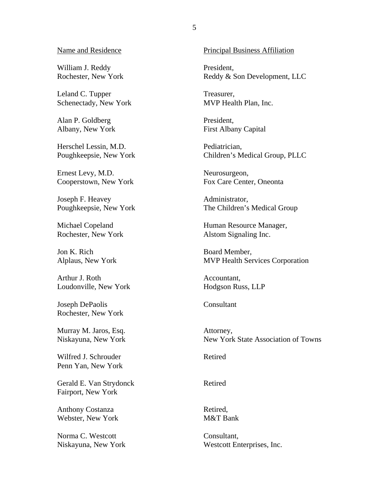William J. Reddy Rochester, New York

Leland C. Tupper Schenectady, New York

Alan P. Goldberg Albany, New York

Herschel Lessin, M.D. Poughkeepsie, New York

Ernest Levy, M.D. Cooperstown, New York

Joseph F. Heavey Poughkeepsie, New York

Michael Copeland Rochester, New York

Jon K. Rich Alplaus, New York

Arthur J. Roth Loudonville, New York

Joseph DePaolis Rochester, New York

Murray M. Jaros, Esq. Niskayuna, New York

Wilfred J. Schrouder Penn Yan, New York

Gerald E. Van Strydonck Fairport, New York

Anthony Costanza Webster, New York

Norma C. Westcott Niskayuna, New York

Name and Residence **Principal Business Affiliation** 

President, Reddy & Son Development, LLC

Treasurer, MVP Health Plan, Inc.

President, First Albany Capital

Pediatrician, Children's Medical Group, PLLC

Neurosurgeon, Fox Care Center, Oneonta

Administrator, The Children's Medical Group

Human Resource Manager, Alstom Signaling Inc.

Board Member, MVP Health Services Corporation

Accountant, Hodgson Russ, LLP

Consultant

Attorney, New York State Association of Towns

Retired

Retired

Retired, M&T Bank

Consultant, Westcott Enterprises, Inc.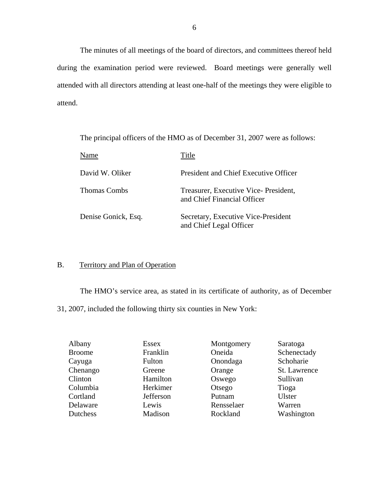The minutes of all meetings of the board of directors, and committees thereof held during the examination period were reviewed. Board meetings were generally well attended with all directors attending at least one-half of the meetings they were eligible to attend.

The principal officers of the HMO as of December 31, 2007 were as follows:

| Name                | Title                                                               |
|---------------------|---------------------------------------------------------------------|
| David W. Oliker     | <b>President and Chief Executive Officer</b>                        |
| <b>Thomas Combs</b> | Treasurer, Executive Vice-President,<br>and Chief Financial Officer |
| Denise Gonick, Esq. | Secretary, Executive Vice-President<br>and Chief Legal Officer      |

## B. Territory and Plan of Operation

The HMO's service area, as stated in its certificate of authority, as of December 31, 2007, included the following thirty six counties in New York:

| Albany        | Essex     | Montgomery | Saratoga      |
|---------------|-----------|------------|---------------|
| <b>Broome</b> | Franklin  | Oneida     | Schenectady   |
| Cayuga        | Fulton    | Onondaga   | Schoharie     |
| Chenango      | Greene    | Orange     | St. Lawrence  |
| Clinton       | Hamilton  | Oswego     | Sullivan      |
| Columbia      | Herkimer  | Otsego     | Tioga         |
| Cortland      | Jefferson | Putnam     | <b>Ulster</b> |
| Delaware      | Lewis     | Rensselaer | Warren        |
| Dutchess      | Madison   | Rockland   | Washington    |
|               |           |            |               |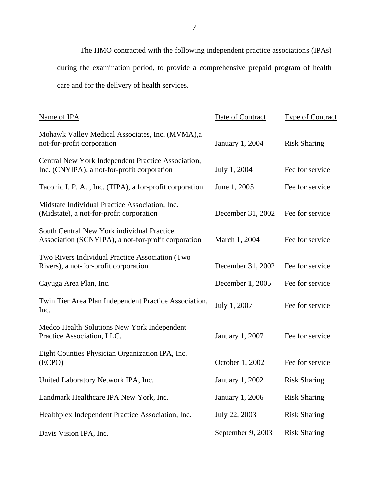The HMO contracted with the following independent practice associations (IPAs) during the examination period, to provide a comprehensive prepaid program of health care and for the delivery of health services.

| Name of IPA                                                                                       | Date of Contract  | <b>Type of Contract</b> |
|---------------------------------------------------------------------------------------------------|-------------------|-------------------------|
| Mohawk Valley Medical Associates, Inc. (MVMA),a<br>not-for-profit corporation                     | January 1, 2004   | <b>Risk Sharing</b>     |
| Central New York Independent Practice Association,<br>Inc. (CNYIPA), a not-for-profit corporation | July 1, 2004      | Fee for service         |
| Taconic I. P. A., Inc. (TIPA), a for-profit corporation                                           | June 1, 2005      | Fee for service         |
| Midstate Individual Practice Association, Inc.<br>(Midstate), a not-for-profit corporation        | December 31, 2002 | Fee for service         |
| South Central New York individual Practice<br>Association (SCNYIPA), a not-for-profit corporation | March 1, 2004     | Fee for service         |
| Two Rivers Individual Practice Association (Two<br>Rivers), a not-for-profit corporation          | December 31, 2002 | Fee for service         |
| Cayuga Area Plan, Inc.                                                                            | December 1, 2005  | Fee for service         |
| Twin Tier Area Plan Independent Practice Association,<br>Inc.                                     | July 1, 2007      | Fee for service         |
| Medco Health Solutions New York Independent<br>Practice Association, LLC.                         | January 1, 2007   | Fee for service         |
| Eight Counties Physician Organization IPA, Inc.<br>(ECPO)                                         | October 1, 2002   | Fee for service         |
| United Laboratory Network IPA, Inc.                                                               | January 1, 2002   | <b>Risk Sharing</b>     |
| Landmark Healthcare IPA New York, Inc.                                                            | January 1, 2006   | <b>Risk Sharing</b>     |
| Healthplex Independent Practice Association, Inc.                                                 | July 22, 2003     | <b>Risk Sharing</b>     |
| Davis Vision IPA, Inc.                                                                            | September 9, 2003 | <b>Risk Sharing</b>     |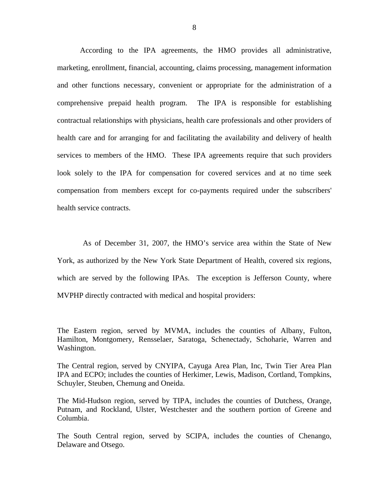comprehensive prepaid health program. The IPA is responsible for establishing According to the IPA agreements, the HMO provides all administrative, marketing, enrollment, financial, accounting, claims processing, management information and other functions necessary, convenient or appropriate for the administration of a contractual relationships with physicians, health care professionals and other providers of health care and for arranging for and facilitating the availability and delivery of health services to members of the HMO. These IPA agreements require that such providers look solely to the IPA for compensation for covered services and at no time seek compensation from members except for co-payments required under the subscribers' health service contracts.

As of December 31, 2007, the HMO's service area within the State of New York, as authorized by the New York State Department of Health, covered six regions, which are served by the following IPAs. The exception is Jefferson County, where MVPHP directly contracted with medical and hospital providers:

The Eastern region, served by MVMA, includes the counties of Albany, Fulton, Hamilton, Montgomery, Rensselaer, Saratoga, Schenectady, Schoharie, Warren and Washington.

The Central region, served by CNYIPA, Cayuga Area Plan, Inc, Twin Tier Area Plan IPA and ECPO; includes the counties of Herkimer, Lewis, Madison, Cortland, Tompkins, Schuyler, Steuben, Chemung and Oneida.

The Mid-Hudson region, served by TIPA, includes the counties of Dutchess, Orange, Putnam, and Rockland, Ulster, Westchester and the southern portion of Greene and Columbia.

The South Central region, served by SCIPA, includes the counties of Chenango, Delaware and Otsego.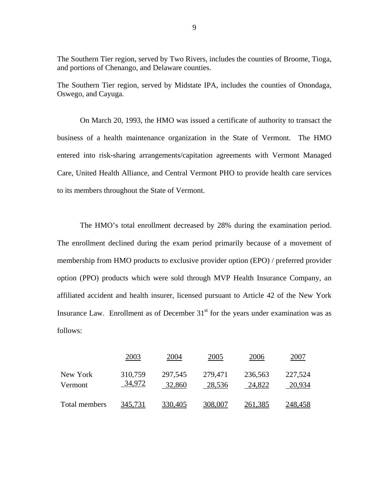The Southern Tier region, served by Two Rivers, includes the counties of Broome, Tioga, and portions of Chenango, and Delaware counties.

The Southern Tier region, served by Midstate IPA, includes the counties of Onondaga, Oswego, and Cayuga.

On March 20, 1993, the HMO was issued a certificate of authority to transact the business of a health maintenance organization in the State of Vermont. The HMO entered into risk-sharing arrangements/capitation agreements with Vermont Managed Care, United Health Alliance, and Central Vermont PHO to provide health care services to its members throughout the State of Vermont.

The HMO's total enrollment decreased by 28% during the examination period. The enrollment declined during the exam period primarily because of a movement of membership from HMO products to exclusive provider option (EPO) / preferred provider option (PPO) products which were sold through MVP Health Insurance Company, an affiliated accident and health insurer, licensed pursuant to Article 42 of the New York Insurance Law. Enrollment as of December  $31<sup>st</sup>$  for the years under examination was as follows:

|                     | 2003              | 2004              | 2005              | 2006              | 2007              |
|---------------------|-------------------|-------------------|-------------------|-------------------|-------------------|
| New York<br>Vermont | 310,759<br>34,972 | 297,545<br>32,860 | 279,471<br>28,536 | 236,563<br>24,822 | 227,524<br>20,934 |
| Total members       | 345,731           | 330,405           | 308,007           | 261,385           | 248,458           |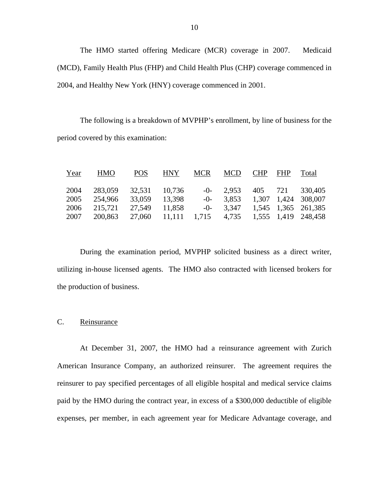The HMO started offering Medicare (MCR) coverage in 2007. Medicaid (MCD), Family Health Plus (FHP) and Child Health Plus (CHP) coverage commenced in 2004, and Healthy New York (HNY) coverage commenced in 2001.

The following is a breakdown of MVPHP's enrollment, by line of business for the period covered by this examination:

| Year | <b>HMO</b> | <b>POS</b>    | <b>HNY</b>                                    | <b>MCR</b> | <b>MCD</b> | CHP FHP | Total                            |
|------|------------|---------------|-----------------------------------------------|------------|------------|---------|----------------------------------|
| 2004 | 283,059    | 32,531 10,736 |                                               |            |            |         | $-0$ - 2,953 405 721 330,405     |
| 2005 | 254.966    | 33,059        | 13,398                                        |            |            |         | $-0$ - 3,853 1,307 1,424 308,007 |
| 2006 | 215,721    | 27,549        | 11,858                                        |            |            |         | $-0$ - 3,347 1,545 1,365 261,385 |
| 2007 | 200,863    |               | 27,060 11,111 1,715 4,735 1,555 1,419 248,458 |            |            |         |                                  |

During the examination period, MVPHP solicited business as a direct writer, utilizing in-house licensed agents. The HMO also contracted with licensed brokers for the production of business.

## C. Reinsurance

At December 31, 2007, the HMO had a reinsurance agreement with Zurich American Insurance Company, an authorized reinsurer. The agreement requires the reinsurer to pay specified percentages of all eligible hospital and medical service claims paid by the HMO during the contract year, in excess of a \$300,000 deductible of eligible expenses, per member, in each agreement year for Medicare Advantage coverage, and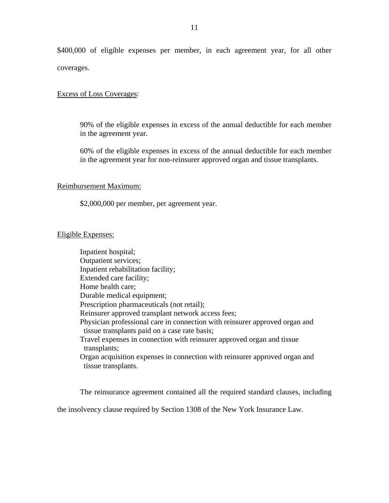\$400,000 of eligible expenses per member, in each agreement year, for all other coverages.

## Excess of Loss Coverages:

90% of the eligible expenses in excess of the annual deductible for each member in the agreement year.

60% of the eligible expenses in excess of the annual deductible for each member in the agreement year for non-reinsurer approved organ and tissue transplants.

### Reimbursement Maximum:

\$2,000,000 per member, per agreement year.

## Eligible Expenses:

Inpatient hospital; Outpatient services; Inpatient rehabilitation facility; Extended care facility; Home health care; Durable medical equipment; Prescription pharmaceuticals (not retail); Reinsurer approved transplant network access fees; Physician professional care in connection with reinsurer approved organ and tissue transplants paid on a case rate basis; Travel expenses in connection with reinsurer approved organ and tissue transplants; Organ acquisition expenses in connection with reinsurer approved organ and tissue transplants.

The reinsurance agreement contained all the required standard clauses, including the insolvency clause required by Section 1308 of the New York Insurance Law.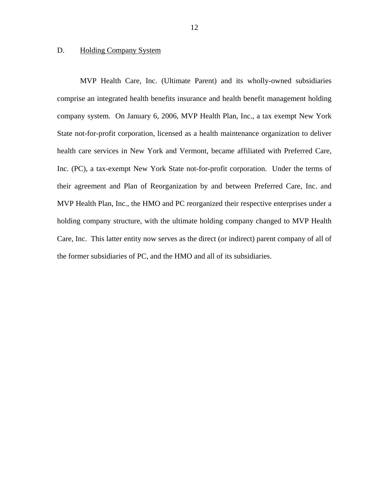## <span id="page-13-0"></span>D. Holding Company System

MVP Health Care, Inc. (Ultimate Parent) and its wholly-owned subsidiaries comprise an integrated health benefits insurance and health benefit management holding company system. On January 6, 2006, MVP Health Plan, Inc., a tax exempt New York State not-for-profit corporation, licensed as a health maintenance organization to deliver health care services in New York and Vermont, became affiliated with Preferred Care, Inc. (PC), a tax-exempt New York State not-for-profit corporation. Under the terms of their agreement and Plan of Reorganization by and between Preferred Care, Inc. and MVP Health Plan, Inc., the HMO and PC reorganized their respective enterprises under a holding company structure, with the ultimate holding company changed to MVP Health Care, Inc. This latter entity now serves as the direct (or indirect) parent company of all of the former subsidiaries of PC, and the HMO and all of its subsidiaries.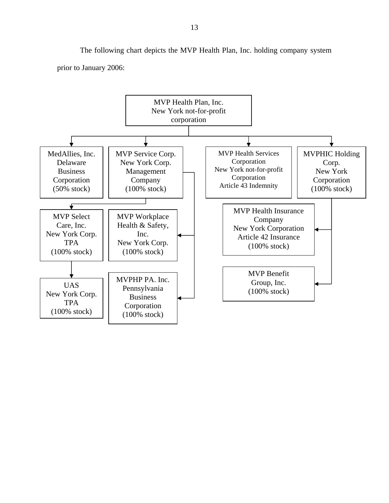The following chart depicts the MVP Health Plan, Inc. holding company system prior to January 2006:

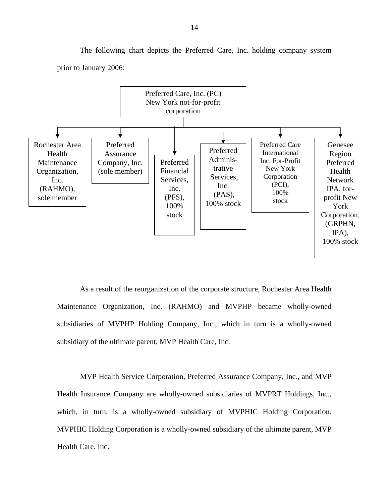

The following chart depicts the Preferred Care, Inc. holding company system prior to January 2006:

As a result of the reorganization of the corporate structure, Rochester Area Health Maintenance Organization, Inc. (RAHMO) and MVPHP became wholly-owned subsidiaries of MVPHP Holding Company, Inc., which in turn is a wholly-owned subsidiary of the ultimate parent, MVP Health Care, Inc.

MVP Health Service Corporation, Preferred Assurance Company, Inc., and MVP Health Insurance Company are wholly-owned subsidiaries of MVPRT Holdings, Inc., which, in turn, is a wholly-owned subsidiary of MVPHIC Holding Corporation. MVPHIC Holding Corporation is a wholly-owned subsidiary of the ultimate parent, MVP Health Care, Inc.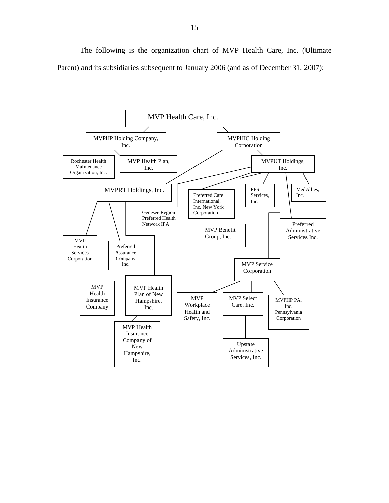The following is the organization chart of MVP Health Care, Inc. (Ultimate Parent) and its subsidiaries subsequent to January 2006 (and as of December 31, 2007):

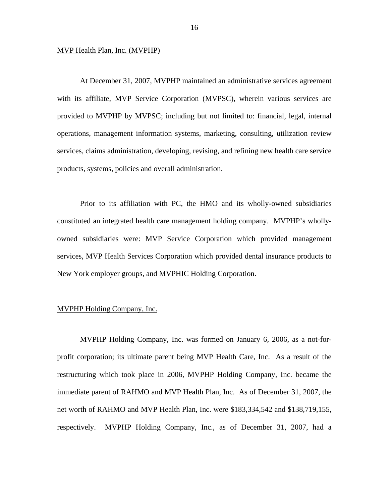## MVP Health Plan, Inc. (MVPHP)

At December 31, 2007, MVPHP maintained an administrative services agreement with its affiliate, MVP Service Corporation (MVPSC), wherein various services are provided to MVPHP by MVPSC; including but not limited to: financial, legal, internal operations, management information systems, marketing, consulting, utilization review services, claims administration, developing, revising, and refining new health care service products, systems, policies and overall administration.

Prior to its affiliation with PC, the HMO and its wholly-owned subsidiaries constituted an integrated health care management holding company. MVPHP's whollyowned subsidiaries were: MVP Service Corporation which provided management services, MVP Health Services Corporation which provided dental insurance products to New York employer groups, and MVPHIC Holding Corporation.

## MVPHP Holding Company, Inc.

MVPHP Holding Company, Inc. was formed on January 6, 2006, as a not-forprofit corporation; its ultimate parent being MVP Health Care, Inc. As a result of the restructuring which took place in 2006, MVPHP Holding Company, Inc. became the immediate parent of RAHMO and MVP Health Plan, Inc. As of December 31, 2007, the net worth of RAHMO and MVP Health Plan, Inc. were \$183,334,542 and \$138,719,155, respectively. MVPHP Holding Company, Inc., as of December 31, 2007, had a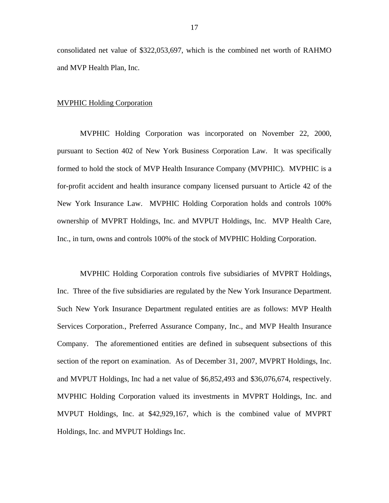consolidated net value of \$322,053,697, which is the combined net worth of RAHMO and MVP Health Plan, Inc.

## MVPHIC Holding Corporation

MVPHIC Holding Corporation was incorporated on November 22, 2000, pursuant to Section 402 of New York Business Corporation Law. It was specifically formed to hold the stock of MVP Health Insurance Company (MVPHIC). MVPHIC is a for-profit accident and health insurance company licensed pursuant to Article 42 of the New York Insurance Law. MVPHIC Holding Corporation holds and controls 100% ownership of MVPRT Holdings, Inc. and MVPUT Holdings, Inc. MVP Health Care, Inc., in turn, owns and controls 100% of the stock of MVPHIC Holding Corporation.

MVPHIC Holding Corporation controls five subsidiaries of MVPRT Holdings, Inc. Three of the five subsidiaries are regulated by the New York Insurance Department. Such New York Insurance Department regulated entities are as follows: MVP Health Services Corporation., Preferred Assurance Company, Inc., and MVP Health Insurance Company. The aforementioned entities are defined in subsequent subsections of this section of the report on examination. As of December 31, 2007, MVPRT Holdings, Inc. and MVPUT Holdings, Inc had a net value of \$6,852,493 and \$36,076,674, respectively. MVPHIC Holding Corporation valued its investments in MVPRT Holdings, Inc. and MVPUT Holdings, Inc. at \$42,929,167, which is the combined value of MVPRT Holdings, Inc. and MVPUT Holdings Inc.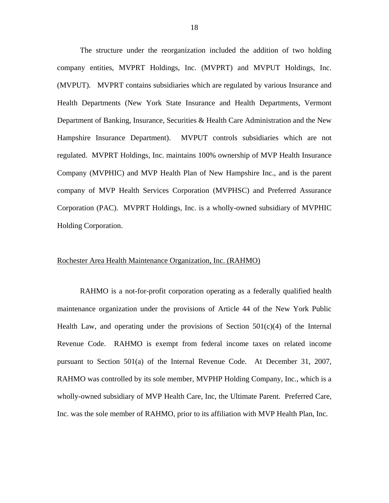The structure under the reorganization included the addition of two holding company entities, MVPRT Holdings, Inc. (MVPRT) and MVPUT Holdings, Inc. (MVPUT). MVPRT contains subsidiaries which are regulated by various Insurance and Health Departments (New York State Insurance and Health Departments, Vermont Department of Banking, Insurance, Securities & Health Care Administration and the New Hampshire Insurance Department). MVPUT controls subsidiaries which are not regulated. MVPRT Holdings, Inc. maintains 100% ownership of MVP Health Insurance Company (MVPHIC) and MVP Health Plan of New Hampshire Inc., and is the parent company of MVP Health Services Corporation (MVPHSC) and Preferred Assurance Corporation (PAC). MVPRT Holdings, Inc. is a wholly-owned subsidiary of MVPHIC Holding Corporation.

## Rochester Area Health Maintenance Organization, Inc. (RAHMO)

RAHMO is a not-for-profit corporation operating as a federally qualified health maintenance organization under the provisions of Article 44 of the New York Public Health Law, and operating under the provisions of Section  $501(c)(4)$  of the Internal Revenue Code. RAHMO is exempt from federal income taxes on related income pursuant to Section 501(a) of the Internal Revenue Code. At December 31, 2007, RAHMO was controlled by its sole member, MVPHP Holding Company, Inc., which is a wholly-owned subsidiary of MVP Health Care, Inc, the Ultimate Parent. Preferred Care, Inc. was the sole member of RAHMO, prior to its affiliation with MVP Health Plan, Inc.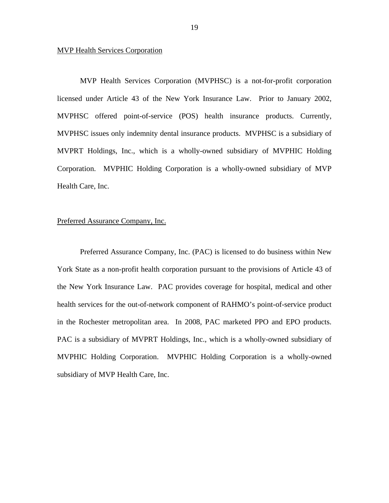## MVP Health Services Corporation

MVP Health Services Corporation (MVPHSC) is a not-for-profit corporation licensed under Article 43 of the New York Insurance Law. Prior to January 2002, MVPHSC offered point-of-service (POS) health insurance products. Currently, MVPHSC issues only indemnity dental insurance products. MVPHSC is a subsidiary of MVPRT Holdings, Inc., which is a wholly-owned subsidiary of MVPHIC Holding Corporation. MVPHIC Holding Corporation is a wholly-owned subsidiary of MVP Health Care, Inc.

## Preferred Assurance Company, Inc.

Preferred Assurance Company, Inc. (PAC) is licensed to do business within New York State as a non-profit health corporation pursuant to the provisions of Article 43 of the New York Insurance Law. PAC provides coverage for hospital, medical and other health services for the out-of-network component of RAHMO's point-of-service product in the Rochester metropolitan area. In 2008, PAC marketed PPO and EPO products. PAC is a subsidiary of MVPRT Holdings, Inc., which is a wholly-owned subsidiary of MVPHIC Holding Corporation. MVPHIC Holding Corporation is a wholly-owned subsidiary of MVP Health Care, Inc.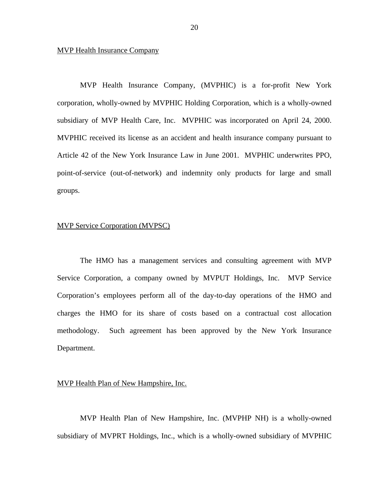## MVP Health Insurance Company

MVP Health Insurance Company, (MVPHIC) is a for-profit New York corporation, wholly-owned by MVPHIC Holding Corporation, which is a wholly-owned subsidiary of MVP Health Care, Inc. MVPHIC was incorporated on April 24, 2000. MVPHIC received its license as an accident and health insurance company pursuant to Article 42 of the New York Insurance Law in June 2001. MVPHIC underwrites PPO, point-of-service (out-of-network) and indemnity only products for large and small groups.

## MVP Service Corporation (MVPSC)

The HMO has a management services and consulting agreement with MVP Service Corporation, a company owned by MVPUT Holdings, Inc. MVP Service Corporation's employees perform all of the day-to-day operations of the HMO and charges the HMO for its share of costs based on a contractual cost allocation methodology. Such agreement has been approved by the New York Insurance Department.

## MVP Health Plan of New Hampshire, Inc.

MVP Health Plan of New Hampshire, Inc. (MVPHP NH) is a wholly-owned subsidiary of MVPRT Holdings, Inc., which is a wholly-owned subsidiary of MVPHIC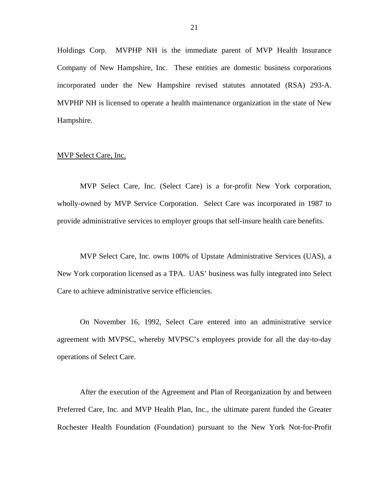Holdings Corp. MVPHP NH is the immediate parent of MVP Health Insurance Company of New Hampshire, Inc. These entities are domestic business corporations incorporated under the New Hampshire revised statutes annotated (RSA) 293-A. MVPHP NH is licensed to operate a health maintenance organization in the state of New Hampshire.

## MVP Select Care, Inc.

MVP Select Care, Inc. (Select Care) is a for-profit New York corporation, wholly-owned by MVP Service Corporation. Select Care was incorporated in 1987 to provide administrative services to employer groups that self-insure health care benefits.

MVP Select Care, Inc. owns 100% of Upstate Administrative Services (UAS), a New York corporation licensed as a TPA. UAS' business was fully integrated into Select Care to achieve administrative service efficiencies.

On November 16, 1992, Select Care entered into an administrative service agreement with MVPSC, whereby MVPSC's employees provide for all the day-to-day operations of Select Care.

After the execution of the Agreement and Plan of Reorganization by and between Preferred Care, Inc. and MVP Health Plan, Inc., the ultimate parent funded the Greater Rochester Health Foundation (Foundation) pursuant to the New York Not-for-Profit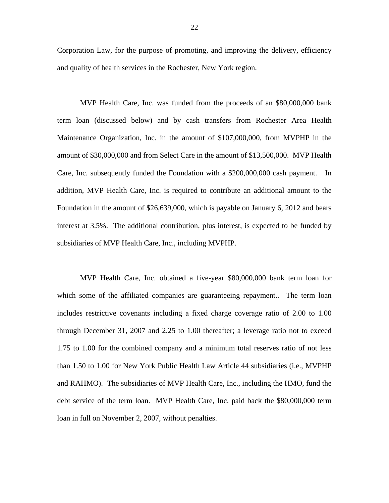Corporation Law, for the purpose of promoting, and improving the delivery, efficiency and quality of health services in the Rochester, New York region.

MVP Health Care, Inc. was funded from the proceeds of an \$80,000,000 bank term loan (discussed below) and by cash transfers from Rochester Area Health Maintenance Organization, Inc. in the amount of \$107,000,000, from MVPHP in the amount of \$30,000,000 and from Select Care in the amount of \$13,500,000. MVP Health Care, Inc. subsequently funded the Foundation with a \$200,000,000 cash payment. In addition, MVP Health Care, Inc. is required to contribute an additional amount to the Foundation in the amount of \$26,639,000, which is payable on January 6, 2012 and bears interest at 3.5%. The additional contribution, plus interest, is expected to be funded by subsidiaries of MVP Health Care, Inc., including MVPHP.

MVP Health Care, Inc. obtained a five-year \$80,000,000 bank term loan for which some of the affiliated companies are guaranteeing repayment.. The term loan includes restrictive covenants including a fixed charge coverage ratio of 2.00 to 1.00 through December 31, 2007 and 2.25 to 1.00 thereafter; a leverage ratio not to exceed 1.75 to 1.00 for the combined company and a minimum total reserves ratio of not less than 1.50 to 1.00 for New York Public Health Law Article 44 subsidiaries (i.e., MVPHP and RAHMO). The subsidiaries of MVP Health Care, Inc., including the HMO, fund the debt service of the term loan. MVP Health Care, Inc. paid back the \$80,000,000 term loan in full on November 2, 2007, without penalties.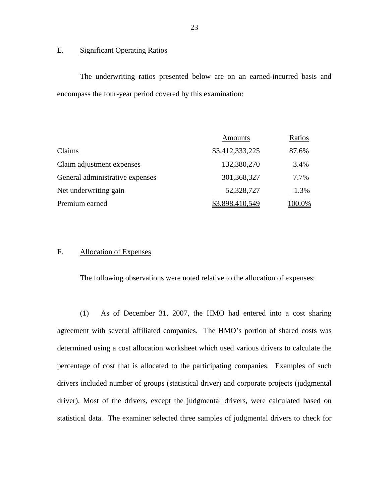## E. Significant Operating Ratios

The underwriting ratios presented below are on an earned-incurred basis and encompass the four-year period covered by this examination:

|                                 | Amounts         | Ratios         |
|---------------------------------|-----------------|----------------|
| Claims                          | \$3,412,333,225 | 87.6%          |
| Claim adjustment expenses       | 132,380,270     | 3.4%           |
| General administrative expenses | 301,368,327     | 7.7%           |
| Net underwriting gain           | 52,328,727      | 1.3%           |
| Premium earned                  | \$3,898,410,549 | <u> 100.0%</u> |

## F. Allocation of Expenses

The following observations were noted relative to the allocation of expenses:

(1) As of December 31, 2007, the HMO had entered into a cost sharing agreement with several affiliated companies. The HMO's portion of shared costs was determined using a cost allocation worksheet which used various drivers to calculate the percentage of cost that is allocated to the participating companies. Examples of such drivers included number of groups (statistical driver) and corporate projects (judgmental driver). Most of the drivers, except the judgmental drivers, were calculated based on statistical data. The examiner selected three samples of judgmental drivers to check for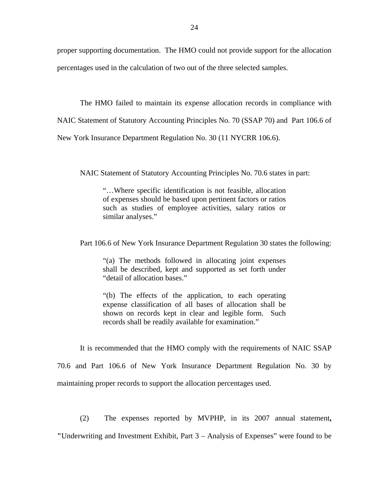proper supporting documentation. The HMO could not provide support for the allocation percentages used in the calculation of two out of the three selected samples.

The HMO failed to maintain its expense allocation records in compliance with

NAIC Statement of Statutory Accounting Principles No. 70 (SSAP 70) and Part 106.6 of

New York Insurance Department Regulation No. 30 (11 NYCRR 106.6).

NAIC Statement of Statutory Accounting Principles No. 70.6 states in part:

"…Where specific identification is not feasible, allocation of expenses should be based upon pertinent factors or ratios such as studies of employee activities, salary ratios or similar analyses."

Part 106.6 of New York Insurance Department Regulation 30 states the following:

"(a) The methods followed in allocating joint expenses shall be described, kept and supported as set forth under "detail of allocation bases."

"(b) The effects of the application, to each operating expense classification of all bases of allocation shall be shown on records kept in clear and legible form. Such records shall be readily available for examination."

It is recommended that the HMO comply with the requirements of NAIC SSAP 70.6 and Part 106.6 of New York Insurance Department Regulation No. 30 by maintaining proper records to support the allocation percentages used.

(2) The expenses reported by MVPHP, in its 2007 annual statement**, "**Underwriting and Investment Exhibit, Part 3 – Analysis of Expenses" were found to be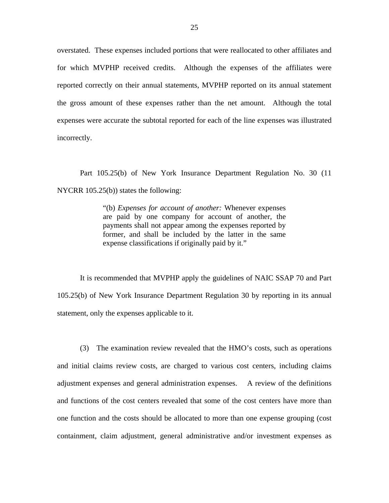overstated. These expenses included portions that were reallocated to other affiliates and for which MVPHP received credits. Although the expenses of the affiliates were reported correctly on their annual statements, MVPHP reported on its annual statement the gross amount of these expenses rather than the net amount. Although the total expenses were accurate the subtotal reported for each of the line expenses was illustrated incorrectly.

Part 105.25(b) of New York Insurance Department Regulation No. 30 (11 NYCRR 105.25(b)) states the following:

> "(b) *Expenses for account of another:* Whenever expenses are paid by one company for account of another, the payments shall not appear among the expenses reported by former, and shall be included by the latter in the same expense classifications if originally paid by it."

It is recommended that MVPHP apply the guidelines of NAIC SSAP 70 and Part 105.25(b) of New York Insurance Department Regulation 30 by reporting in its annual statement, only the expenses applicable to it.

(3) The examination review revealed that the HMO's costs, such as operations and initial claims review costs, are charged to various cost centers, including claims adjustment expenses and general administration expenses. A review of the definitions and functions of the cost centers revealed that some of the cost centers have more than one function and the costs should be allocated to more than one expense grouping (cost containment, claim adjustment, general administrative and/or investment expenses as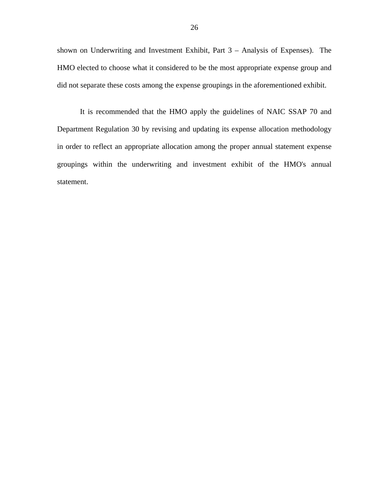shown on Underwriting and Investment Exhibit, Part 3 – Analysis of Expenses). The HMO elected to choose what it considered to be the most appropriate expense group and did not separate these costs among the expense groupings in the aforementioned exhibit.

It is recommended that the HMO apply the guidelines of NAIC SSAP 70 and Department Regulation 30 by revising and updating its expense allocation methodology in order to reflect an appropriate allocation among the proper annual statement expense groupings within the underwriting and investment exhibit of the HMO's annual statement.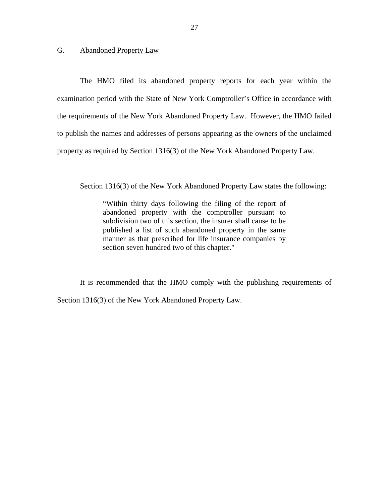## <span id="page-28-0"></span>G. Abandoned Property Law

The HMO filed its abandoned property reports for each year within the examination period with the State of New York Comptroller's Office in accordance with the requirements of the New York Abandoned Property Law. However, the HMO failed to publish the names and addresses of persons appearing as the owners of the unclaimed property as required by Section 1316(3) of the New York Abandoned Property Law.

Section 1316(3) of the New York Abandoned Property Law states the following:

"Within thirty days following the filing of the report of abandoned property with the comptroller pursuant to subdivision two of this section, the insurer shall cause to be published a list of such abandoned property in the same manner as that prescribed for life insurance companies by section seven hundred two of this chapter."

It is recommended that the HMO comply with the publishing requirements of Section 1316(3) of the New York Abandoned Property Law.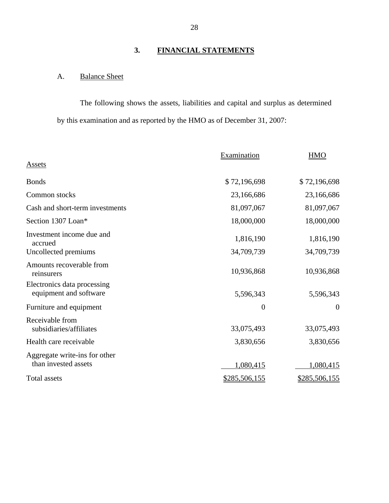## **3. FINANCIAL STATEMENTS**

## <span id="page-29-0"></span>A. Balance Sheet

The following shows the assets, liabilities and capital and surplus as determined by this examination and as reported by the HMO as of December 31, 2007:

|                                                       | <b>Examination</b> | <b>HMO</b>     |
|-------------------------------------------------------|--------------------|----------------|
| Assets                                                |                    |                |
| <b>Bonds</b>                                          | \$72,196,698       | \$72,196,698   |
| Common stocks                                         | 23,166,686         | 23,166,686     |
| Cash and short-term investments                       | 81,097,067         | 81,097,067     |
| Section 1307 Loan*                                    | 18,000,000         | 18,000,000     |
| Investment income due and<br>accrued                  | 1,816,190          | 1,816,190      |
| Uncollected premiums                                  | 34,709,739         | 34,709,739     |
| Amounts recoverable from<br>reinsurers                | 10,936,868         | 10,936,868     |
| Electronics data processing<br>equipment and software | 5,596,343          | 5,596,343      |
| Furniture and equipment                               | $\boldsymbol{0}$   | $\overline{0}$ |
| Receivable from<br>subsidiaries/affiliates            | 33,075,493         | 33,075,493     |
| Health care receivable                                | 3,830,656          | 3,830,656      |
| Aggregate write-ins for other<br>than invested assets | 1,080,415          | 1,080,415      |
| <b>Total assets</b>                                   | \$285,506,155      | \$285,506,155  |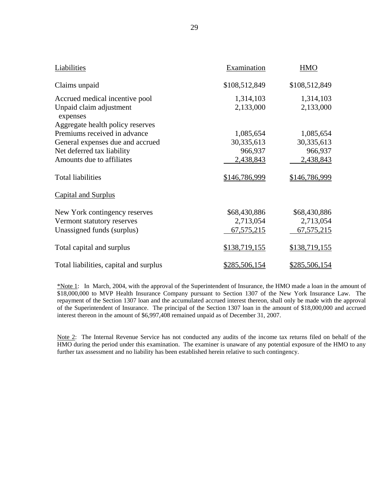| Liabilities                            | Examination   | <b>HMO</b>    |
|----------------------------------------|---------------|---------------|
| Claims unpaid                          | \$108,512,849 | \$108,512,849 |
| Accrued medical incentive pool         | 1,314,103     | 1,314,103     |
| Unpaid claim adjustment<br>expenses    | 2,133,000     | 2,133,000     |
| Aggregate health policy reserves       |               |               |
| Premiums received in advance           | 1,085,654     | 1,085,654     |
| General expenses due and accrued       | 30,335,613    | 30,335,613    |
| Net deferred tax liability             | 966,937       | 966,937       |
| Amounts due to affiliates              | 2,438,843     | 2,438,843     |
| <b>Total liabilities</b>               | \$146,786,999 | \$146,786,999 |
| <b>Capital and Surplus</b>             |               |               |
| New York contingency reserves          | \$68,430,886  | \$68,430,886  |
| Vermont statutory reserves             | 2,713,054     | 2,713,054     |
| Unassigned funds (surplus)             | 67,575,215    | 67,575,215    |
| Total capital and surplus              | \$138,719,155 | \$138,719,155 |
| Total liabilities, capital and surplus | \$285,506,154 | \$285,506,154 |

\*Note 1: In March, 2004, with the approval of the Superintendent of Insurance, the HMO made a loan in the amount of \$18,000,000 to MVP Health Insurance Company pursuant to Section 1307 of the New York Insurance Law. The repayment of the Section 1307 loan and the accumulated accrued interest thereon, shall only be made with the approval of the Superintendent of Insurance. The principal of the Section 1307 loan in the amount of \$18,000,000 and accrued interest thereon in the amount of \$6,997,408 remained unpaid as of December 31, 2007.

 HMO during the period under this examination. The examiner is unaware of any potential exposure of the HMO to any further tax assessment and no liability has been established herein relative to such contingency. Note 2: The Internal Revenue Service has not conducted any audits of the income tax returns filed on behalf of the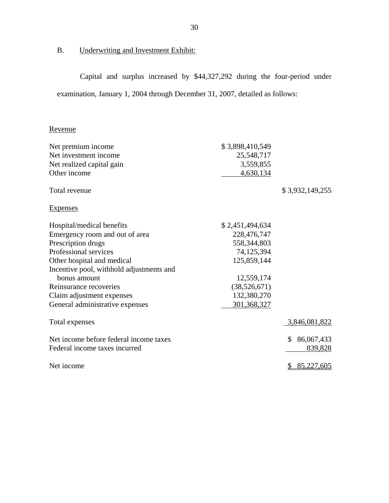## <span id="page-31-0"></span>B. Underwriting and Investment Exhibit:

Capital and surplus increased by \$44,327,292 during the four-period under examination, January 1, 2004 through December 31, 2007, detailed as follows:

## Revenue

| Net premium income                       | \$3,898,410,549 |                  |
|------------------------------------------|-----------------|------------------|
| Net investment income                    | 25,548,717      |                  |
| Net realized capital gain                | 3,559,855       |                  |
| Other income                             | 4,630,134       |                  |
| Total revenue                            |                 | \$3,932,149,255  |
| <b>Expenses</b>                          |                 |                  |
| Hospital/medical benefits                | \$2,451,494,634 |                  |
| Emergency room and out of area           | 228,476,747     |                  |
| Prescription drugs                       | 558,344,803     |                  |
| Professional services                    | 74,125,394      |                  |
| Other hospital and medical               | 125,859,144     |                  |
| Incentive pool, withhold adjustments and |                 |                  |
| bonus amount                             | 12,559,174      |                  |
| Reinsurance recoveries                   | (38,526,671)    |                  |
| Claim adjustment expenses                | 132,380,270     |                  |
| General administrative expenses          | 301,368,327     |                  |
| Total expenses                           |                 | 3,846,081,822    |
| Net income before federal income taxes   |                 | 86,067,433<br>S. |
| Federal income taxes incurred            |                 | 839,828          |
| Net income                               |                 | 85,227,605<br>\$ |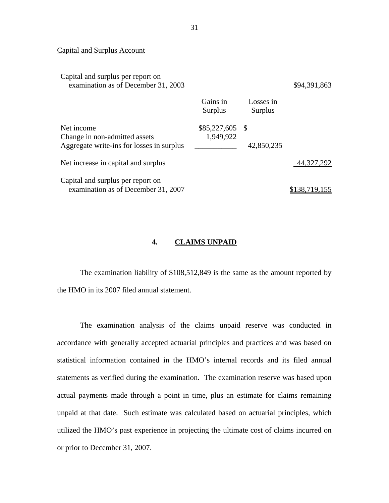## Capital and Surplus Account

Capital and surplus per report on

| examination as of December 31, 2003                                                      |                                |                      | \$94,391,863  |
|------------------------------------------------------------------------------------------|--------------------------------|----------------------|---------------|
|                                                                                          | Gains in<br>Surplus            | Losses in<br>Surplus |               |
| Net income<br>Change in non-admitted assets<br>Aggregate write-ins for losses in surplus | $$85,227,605$ \\$<br>1,949,922 | 42,850,235           |               |
| Net increase in capital and surplus                                                      |                                |                      | 44,327,292    |
| Capital and surplus per report on<br>examination as of December 31, 2007                 |                                |                      | \$138,719,155 |

## **4. CLAIMS UNPAID**

The examination liability of \$108,512,849 is the same as the amount reported by the HMO in its 2007 filed annual statement.

The examination analysis of the claims unpaid reserve was conducted in accordance with generally accepted actuarial principles and practices and was based on statistical information contained in the HMO's internal records and its filed annual statements as verified during the examination. The examination reserve was based upon actual payments made through a point in time, plus an estimate for claims remaining unpaid at that date. Such estimate was calculated based on actuarial principles, which utilized the HMO's past experience in projecting the ultimate cost of claims incurred on or prior to December 31, 2007.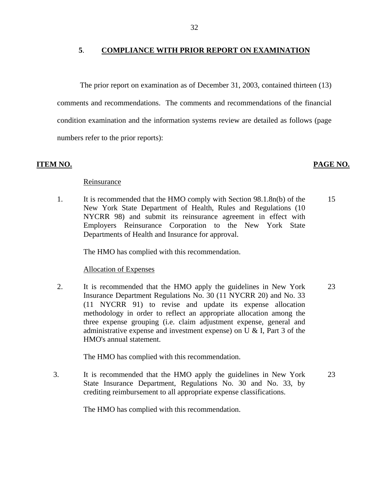## **5**. **COMPLIANCE WITH PRIOR REPORT ON EXAMINATION**

The prior report on examination as of December 31, 2003, contained thirteen (13) comments and recommendations. The comments and recommendations of the financial condition examination and the information systems review are detailed as follows (page numbers refer to the prior reports):

## **ITEM NO. PAGE NO.**

## Reinsurance

1. It is recommended that the HMO comply with Section 98.1.8n(b) of the New York State Department of Health, Rules and Regulations (10 NYCRR 98) and submit its reinsurance agreement in effect with Employers Reinsurance Corporation to the New York State Departments of Health and Insurance for approval. 15

The HMO has complied with this recommendation.

## **Allocation of Expenses**

2. It is recommended that the HMO apply the guidelines in New York Insurance Department Regulations No. 30 (11 NYCRR 20) and No. 33 (11 NYCRR 91) to revise and update its expense allocation methodology in order to reflect an appropriate allocation among the three expense grouping (i.e. claim adjustment expense, general and administrative expense and investment expense) on U & I, Part 3 of the HMO's annual statement. 23

The HMO has complied with this recommendation.

3. It is recommended that the HMO apply the guidelines in New York State Insurance Department, Regulations No. 30 and No. 33, by crediting reimbursement to all appropriate expense classifications. 23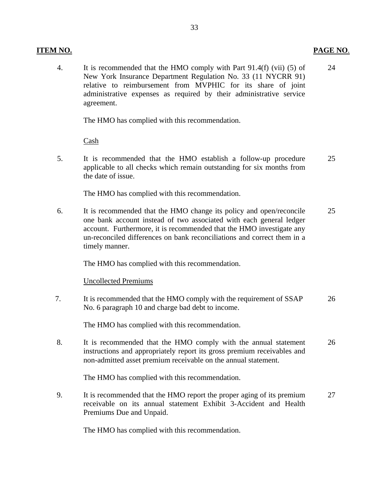## **ITEM NO. PAGE NO**.

4. It is recommended that the HMO comply with Part 91.4(f) (vii) (5) of 24 New York Insurance Department Regulation No. 33 (11 NYCRR 91) relative to reimbursement from MVPHIC for its share of joint administrative expenses as required by their administrative service agreement.

The HMO has complied with this recommendation.

Cash

5. It is recommended that the HMO establish a follow-up procedure 25 applicable to all checks which remain outstanding for six months from the date of issue.

The HMO has complied with this recommendation.

6. It is recommended that the HMO change its policy and open/reconcile 25 one bank account instead of two associated with each general ledger account. Furthermore, it is recommended that the HMO investigate any un-reconciled differences on bank reconciliations and correct them in a timely manner.

The HMO has complied with this recommendation.

## Uncollected Premiums

 7. It is recommended that the HMO comply with the requirement of SSAP 26 No. 6 paragraph 10 and charge bad debt to income.

The HMO has complied with this recommendation.

8. It is recommended that the HMO comply with the annual statement 26 instructions and appropriately report its gross premium receivables and non-admitted asset premium receivable on the annual statement.

The HMO has complied with this recommendation.

9. It is recommended that the HMO report the proper aging of its premium 27 receivable on its annual statement Exhibit 3-Accident and Health Premiums Due and Unpaid.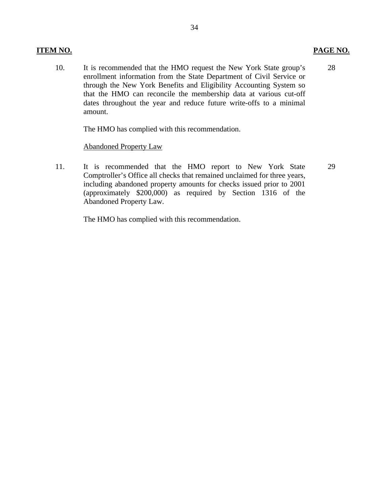10. It is recommended that the HMO request the New York State group's enrollment information from the State Department of Civil Service or through the New York Benefits and Eligibility Accounting System so that the HMO can reconcile the membership data at various cut-off dates throughout the year and reduce future write-offs to a minimal amount. 28

The HMO has complied with this recommendation.

## **Abandoned Property Law**

11. It is recommended that the HMO report to New York State Comptroller's Office all checks that remained unclaimed for three years, including abandoned property amounts for checks issued prior to 2001 (approximately \$200,000) as required by Section 1316 of the Abandoned Property Law. 29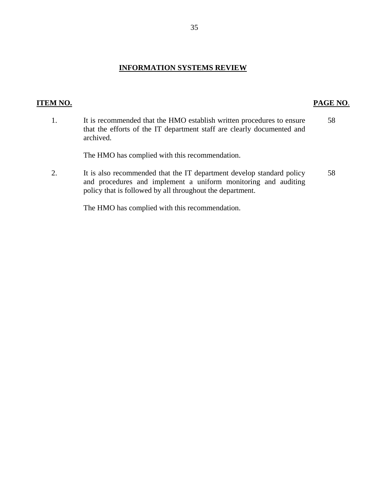## **INFORMATION SYSTEMS REVIEW**

## **ITEM NO. PAGE NO**.

- 1. It is recommended that the HMO establish written procedures to ensure 58 that the efforts of the IT department staff are clearly documented and archived. The HMO has complied with this recommendation.
- 2. It is also recommended that the IT department develop standard policy 58 and procedures and implement a uniform monitoring and auditing policy that is followed by all throughout the department.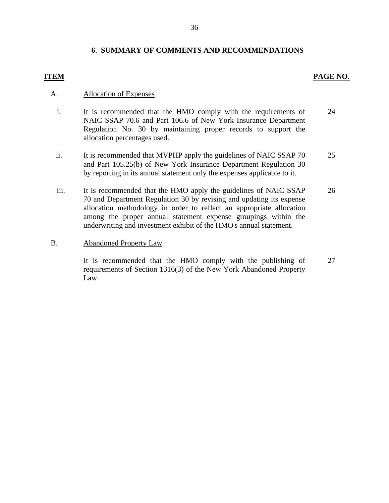## **6**. **SUMMARY OF COMMENTS AND RECOMMENDATIONS**

## **ITEM PAGE NO**.

## **Allocation of Expenses**

- A. Allocation of Expenses<br>i. It is recommended that the HMO comply with the requirements of NAIC SSAP 70.6 and Part 106.6 of New York Insurance Department Regulation No. 30 by maintaining proper records to support the allocation percentages used. 24
	- ii. It is recommended that MVPHP apply the guidelines of NAIC SSAP 70 and Part 105.25(b) of New York Insurance Department Regulation 30 by reporting in its annual statement only the expenses applicable to it. 25
	- iii. It is recommended that the HMO apply the guidelines of NAIC SSAP 70 and Department Regulation 30 by revising and updating its expense allocation methodology in order to reflect an appropriate allocation among the proper annual statement expense groupings within the underwriting and investment exhibit of the HMO's annual statement. 26

### **Abandoned Property Law**

B. Abandoned Property Law<br>It is recommended that the HMO comply with the publishing of requirements of Section 1316(3) of the New York Abandoned Property Law. 27